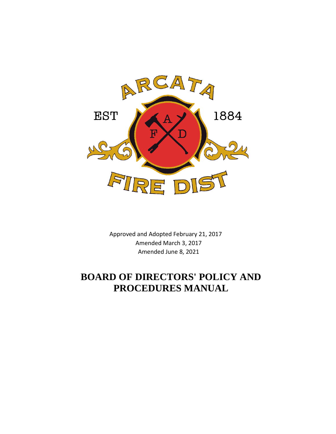

Approved and Adopted February 21, 2017 Amended March 3, 2017 Amended June 8, 2021

# **BOARD OF DIRECTORS' POLICY AND PROCEDURES MANUAL**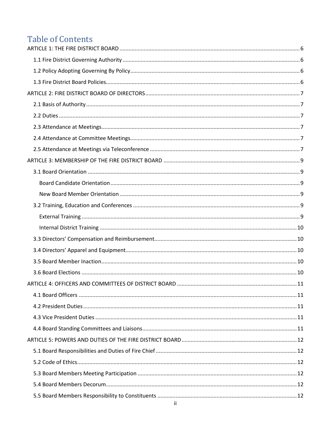# **Table of Contents**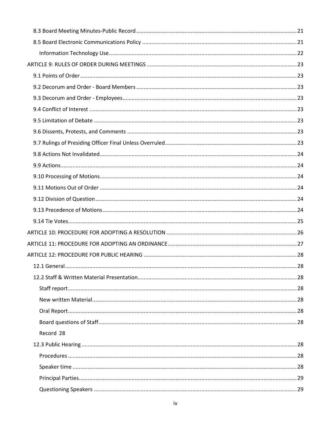| Record 28 |  |
|-----------|--|
|           |  |
|           |  |
|           |  |
|           |  |
|           |  |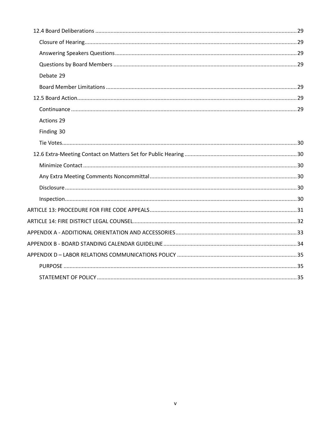| Debate 29  |
|------------|
|            |
|            |
|            |
| Actions 29 |
| Finding 30 |
|            |
|            |
|            |
|            |
|            |
|            |
|            |
|            |
|            |
|            |
|            |
|            |
|            |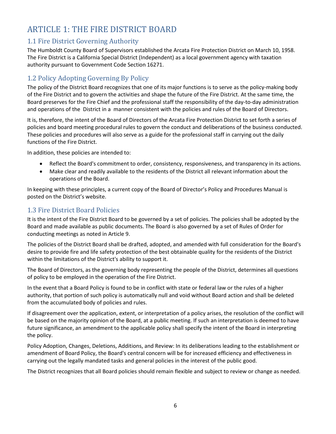# <span id="page-5-0"></span>ARTICLE 1: THE FIRE DISTRICT BOARD

## <span id="page-5-1"></span>1.1 Fire District Governing Authority

The Humboldt County Board of Supervisors established the Arcata Fire Protection District on March 10, 1958. The Fire District is a California Special District (Independent) as a local government agency with taxation authority pursuant to Government Code Section 16271.

# <span id="page-5-2"></span>1.2 Policy Adopting Governing By Policy

The policy of the District Board recognizes that one of its major functions is to serve as the policy-making body of the Fire District and to govern the activities and shape the future of the Fire District. At the same time, the Board preserves for the Fire Chief and the professional staff the responsibility of the day-to-day administration and operations of the District in a manner consistent with the policies and rules of the Board of Directors.

It is, therefore, the intent of the Board of Directors of the Arcata Fire Protection District to set forth a series of policies and board meeting procedural rules to govern the conduct and deliberations of the business conducted. These policies and procedures will also serve as a guide for the professional staff in carrying out the daily functions of the Fire District.

In addition, these policies are intended to:

- Reflect the Board's commitment to order, consistency, responsiveness, and transparency in its actions.
- Make clear and readily available to the residents of the District all relevant information about the operations of the Board.

In keeping with these principles, a current copy of the Board of Director's Policy and Procedures Manual is posted on the District's website.

## <span id="page-5-3"></span>1.3 Fire District Board Policies

It is the intent of the Fire District Board to be governed by a set of policies. The policies shall be adopted by the Board and made available as public documents. The Board is also governed by a set of Rules of Order for conducting meetings as noted in Article 9.

The policies of the District Board shall be drafted, adopted, and amended with full consideration for the Board's desire to provide fire and life safety protection of the best obtainable quality for the residents of the District within the limitations of the District's ability to support it.

The Board of Directors, as the governing body representing the people of the District, determines all questions of policy to be employed in the operation of the Fire District.

In the event that a Board Policy is found to be in conflict with state or federal law or the rules of a higher authority, that portion of such policy is automatically null and void without Board action and shall be deleted from the accumulated body of policies and rules.

If disagreement over the application, extent, or interpretation of a policy arises, the resolution of the conflict will be based on the majority opinion of the Board, at a public meeting. If such an interpretation is deemed to have future significance, an amendment to the applicable policy shall specify the intent of the Board in interpreting the policy.

Policy Adoption, Changes, Deletions, Additions, and Review: In its deliberations leading to the establishment or amendment of Board Policy, the Board's central concern will be for increased efficiency and effectiveness in carrying out the legally mandated tasks and general policies in the interest of the public good.

The District recognizes that all Board policies should remain flexible and subject to review or change as needed.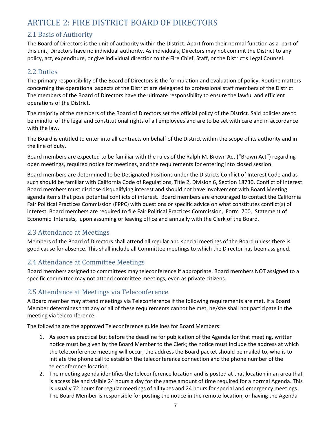# <span id="page-6-0"></span>ARTICLE 2: FIRE DISTRICT BOARD OF DIRECTORS

## <span id="page-6-1"></span>2.1 Basis of Authority

The Board of Directors is the unit of authority within the District. Apart from their normal function as a part of this unit, Directors have no individual authority. As individuals, Directors may not commit the District to any policy, act, expenditure, or give individual direction to the Fire Chief, Staff, or the District's Legal Counsel.

## <span id="page-6-2"></span>2.2 Duties

The primary responsibility of the Board of Directors is the formulation and evaluation of policy. Routine matters concerning the operational aspects of the District are delegated to professional staff members of the District. The members of the Board of Directors have the ultimate responsibility to ensure the lawful and efficient operations of the District.

The majority of the members of the Board of Directors set the official policy of the District. Said policies are to be mindful of the legal and constitutional rights of all employees and are to be set with care and in accordance with the law.

The Board is entitled to enter into all contracts on behalf of the District within the scope of its authority and in the line of duty.

Board members are expected to be familiar with the rules of the Ralph M. Brown Act ("Brown Act") regarding open meetings, required notice for meetings, and the requirements for entering into closed session.

Board members are determined to be Designated Positions under the Districts Conflict of Interest Code and as such should be familiar with California Code of Regulations, Title 2, Division 6, Section 18730, Conflict of Interest. Board members must disclose disqualifying interest and should not have involvement with Board Meeting agenda items that pose potential conflicts of interest. Board members are encouraged to contact the California Fair Political Practices Commission (FPPC) with questions or specific advice on what constitutes conflict(s) of interest. Board members are required to file Fair Political Practices Commission, Form 700, Statement of Economic Interests, upon assuming or leaving office and annually with the Clerk of the Board.

## <span id="page-6-3"></span>2.3 Attendance at Meetings

Members of the Board of Directors shall attend all regular and special meetings of the Board unless there is good cause for absence. This shall include all Committee meetings to which the Director has been assigned.

## <span id="page-6-4"></span>2.4 Attendance at Committee Meetings

Board members assigned to committees may teleconference if appropriate. Board members NOT assigned to a specific committee may not attend committee meetings, even as private citizens.

## <span id="page-6-5"></span>2.5 Attendance at Meetings via Teleconference

A Board member may attend meetings via Teleconference if the following requirements are met. If a Board Member determines that any or all of these requirements cannot be met, he/she shall not participate in the meeting via teleconference.

The following are the approved Teleconference guidelines for Board Members:

- 1. As soon as practical but before the deadline for publication of the Agenda for that meeting, written notice must be given by the Board Member to the Clerk; the notice must include the address at which the teleconference meeting will occur, the address the Board packet should be mailed to, who is to initiate the phone call to establish the teleconference connection and the phone number of the teleconference location.
- 2. The meeting agenda identifies the teleconference location and is posted at that location in an area that is accessible and visible 24 hours a day for the same amount of time required for a normal Agenda. This is usually 72 hours for regular meetings of all types and 24 hours for special and emergency meetings. The Board Member is responsible for posting the notice in the remote location, or having the Agenda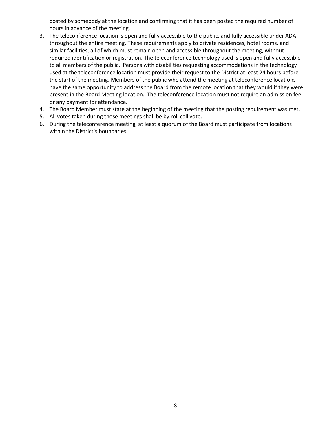posted by somebody at the location and confirming that it has been posted the required number of hours in advance of the meeting.

- 3. The teleconference location is open and fully accessible to the public, and fully accessible under ADA throughout the entire meeting. These requirements apply to private residences, hotel rooms, and similar facilities, all of which must remain open and accessible throughout the meeting, without required identification or registration. The teleconference technology used is open and fully accessible to all members of the public. Persons with disabilities requesting accommodations in the technology used at the teleconference location must provide their request to the District at least 24 hours before the start of the meeting. Members of the public who attend the meeting at teleconference locations have the same opportunity to address the Board from the remote location that they would if they were present in the Board Meeting location. The teleconference location must not require an admission fee or any payment for attendance.
- 4. The Board Member must state at the beginning of the meeting that the posting requirement was met.
- 5. All votes taken during those meetings shall be by roll call vote.
- 6. During the teleconference meeting, at least a quorum of the Board must participate from locations within the District's boundaries.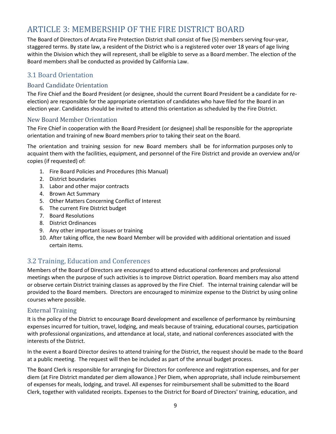# <span id="page-8-0"></span>ARTICLE 3: MEMBERSHIP OF THE FIRE DISTRICT BOARD

The Board of Directors of Arcata Fire Protection District shall consist of five (5) members serving four-year, staggered terms. By state law, a resident of the District who is a registered voter over 18 years of age living within the Division which they will represent, shall be eligible to serve as a Board member. The election of the Board members shall be conducted as provided by California Law.

## <span id="page-8-1"></span>3.1 Board Orientation

#### <span id="page-8-2"></span>Board Candidate Orientation

The Fire Chief and the Board President (or designee, should the current Board President be a candidate for reelection) are responsible for the appropriate orientation of candidates who have filed for the Board in an election year. Candidates should be invited to attend this orientation as scheduled by the Fire District.

#### <span id="page-8-3"></span>New Board Member Orientation

The Fire Chief in cooperation with the Board President (or designee) shall be responsible for the appropriate orientation and training of new Board members prior to taking their seat on the Board.

The orientation and training session for new Board members shall be for information purposes only to acquaint them with the facilities, equipment, and personnel of the Fire District and provide an overview and/or copies (if requested) of:

- 1. Fire Board Policies and Procedures (this Manual)
- 2. District boundaries
- 3. Labor and other major contracts
- 4. Brown Act Summary
- 5. Other Matters Concerning Conflict of Interest
- 6. The current Fire District budget
- 7. Board Resolutions
- 8. District Ordinances
- 9. Any other important issues or training
- 10. After taking office, the new Board Member will be provided with additional orientation and issued certain items.

## <span id="page-8-4"></span>3.2 Training, Education and Conferences

Members of the Board of Directors are encouraged to attend educational conferences and professional meetings when the purpose of such activities is to improve District operation. Board members may also attend or observe certain District training classes as approved by the Fire Chief. The internal training calendar will be provided to the Board members. Directors are encouraged to minimize expense to the District by using online courses where possible.

#### <span id="page-8-5"></span>External Training

It is the policy of the District to encourage Board development and excellence of performance by reimbursing expenses incurred for tuition, travel, lodging, and meals because of training, educational courses, participation with professional organizations, and attendance at local, state, and national conferences associated with the interests of the District.

In the event a Board Director desires to attend training for the District, the request should be made to the Board at a public meeting. The request will then be included as part of the annual budget process.

The Board Clerk is responsible for arranging for Directors for conference and registration expenses, and for per diem (at Fire District mandated per diem allowance.) Per Diem, when appropriate, shall include reimbursement of expenses for meals, lodging, and travel. All expenses for reimbursement shall be submitted to the Board Clerk, together with validated receipts. Expenses to the District for Board of Directors' training, education, and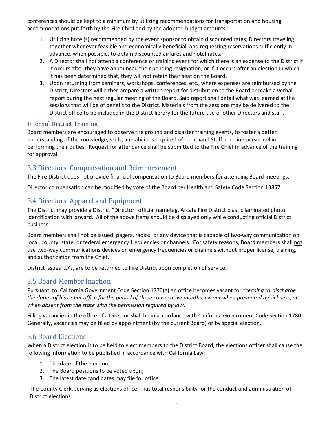conferences should be kept to a minimum by utilizing recommendations for transportation and housing accommodations put forth by the Fire Chief and by the adopted budget amounts.

- 1. Utilizing hotel(s) recommended by the event sponsor to obtain discounted rates, Directors traveling together whenever feasible and economically beneficial, and requesting reservations sufficiently in advance, when possible, to obtain discounted airfares and hotel rates.
- 2. A Director shall not attend a conference or training event for which there is an expense to the District if it occurs after they have announced their pending resignation, or if it occurs after an election in which it has been determined that, they will not retain their seat on the Board.
- 3. Upon returning from seminars, workshops, conferences, etc., where expenses are reimbursed by the District, Directors will either prepare a written report for distribution to the Board or make a verbal report during the next regular meeting of the Board. Said report shall detail what was learned at the sessions that will be of benefit to the District. Materials from the sessions may be delivered to the District office to be included in the District library for the future use of other Directors and staff.

#### <span id="page-9-0"></span>Internal District Training

Board members are encouraged to observe fire ground and disaster training events, to foster a better understanding of the knowledge, skills, and abilities required of Command Staff and Line personnel in performing their duties. Request for attendance shall be submitted to the Fire Chief in advance of the training for approval.

## <span id="page-9-1"></span>3.3 Directors' Compensation and Reimbursement

The Fire District does not provide financial compensation to Board members for attending Board meetings.

Director compensation can be modified by vote of the Board per Health and Safety Code Section 13857.

## <span id="page-9-2"></span>3.4 Directors' Apparel and Equipment

The District may provide a District "Director" official nametag, Arcata Fire District plastic laminated photo identification with lanyard. All of the above items should be displayed only while conducting official District business.

Board members shall not be issued, pagers, radios, or any device that is capable of two-way communication on local, county, state, or federal emergency frequencies or channels. For safety reasons, Board members shall not use two-way communications devices on emergency frequencies or channels without proper license, training, and authorization from the Chief.

District issues I.D's, are to be returned to Fire District upon completion of service.

## <span id="page-9-3"></span>3.5 Board Member Inaction

Pursuant to California Government Code Section 1770(g) an office becomes vacant for *"ceasing to discharge the duties of his or her office for the period of three consecutive months, except when prevented by sickness, or when absent from the state with the permission required by law.*"

Filling vacancies in the office of a Director shall be in accordance with California Government Code Section 1780. Generally, vacancies may be filled by appointment (by the current Board) or by special election.

## <span id="page-9-4"></span>3.6 Board Elections

When a District election is to be held to elect members to the District Board, the elections officer shall cause the following information to be published in accordance with California Law:

- 1. The date of the election;
- 2. The Board positions to be voted upon;
- 3. The latest date candidates may file for office.

The County Clerk, serving as elections officer, has total responsibility for the conduct and administration of District elections.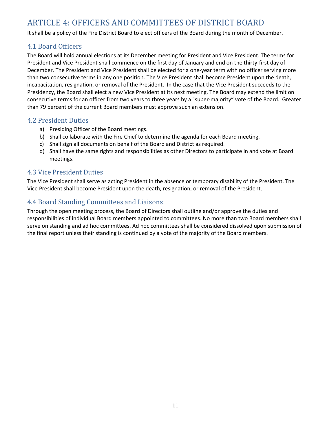# <span id="page-10-0"></span>ARTICLE 4: OFFICERS AND COMMITTEES OF DISTRICT BOARD

It shall be a policy of the Fire District Board to elect officers of the Board during the month of December.

#### <span id="page-10-1"></span>4.1 Board Officers

The Board will hold annual elections at its December meeting for President and Vice President. The terms for President and Vice President shall commence on the first day of January and end on the thirty-first day of December. The President and Vice President shall be elected for a one-year term with no officer serving more than two consecutive terms in any one position. The Vice President shall become President upon the death, incapacitation, resignation, or removal of the President. In the case that the Vice President succeeds to the Presidency, the Board shall elect a new Vice President at its next meeting. The Board may extend the limit on consecutive terms for an officer from two years to three years by a "super-majority" vote of the Board. Greater than 79 percent of the current Board members must approve such an extension.

#### <span id="page-10-2"></span>4.2 President Duties

- a) Presiding Officer of the Board meetings.
- b) Shall collaborate with the Fire Chief to determine the agenda for each Board meeting.
- c) Shall sign all documents on behalf of the Board and District as required.
- d) Shall have the same rights and responsibilities as other Directors to participate in and vote at Board meetings.

#### <span id="page-10-3"></span>4.3 Vice President Duties

The Vice President shall serve as acting President in the absence or temporary disability of the President. The Vice President shall become President upon the death, resignation, or removal of the President.

## <span id="page-10-4"></span>4.4 Board Standing Committees and Liaisons

Through the open meeting process, the Board of Directors shall outline and/or approve the duties and responsibilities of individual Board members appointed to committees. No more than two Board members shall serve on standing and ad hoc committees. Ad hoc committees shall be considered dissolved upon submission of the final report unless their standing is continued by a vote of the majority of the Board members.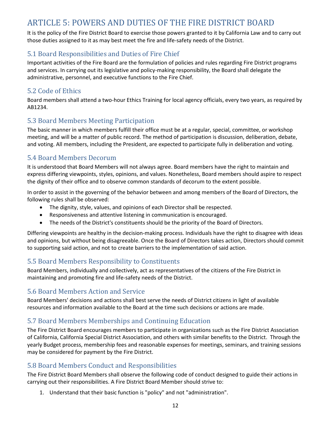# <span id="page-11-0"></span>ARTICLE 5: POWERS AND DUTIES OF THE FIRE DISTRICT BOARD

It is the policy of the Fire District Board to exercise those powers granted to it by California Law and to carry out those duties assigned to it as may best meet the fire and life-safety needs of the District.

## <span id="page-11-1"></span>5.1 Board Responsibilities and Duties of Fire Chief

Important activities of the Fire Board are the formulation of policies and rules regarding Fire District programs and services. In carrying out its legislative and policy-making responsibility, the Board shall delegate the administrative, personnel, and executive functions to the Fire Chief.

## <span id="page-11-2"></span>5.2 Code of Ethics

Board members shall attend a two-hour Ethics Training for local agency officials, every two years, as required by AB1234.

## <span id="page-11-3"></span>5.3 Board Members Meeting Participation

The basic manner in which members fulfill their office must be at a regular, special, committee, or workshop meeting, and will be a matter of public record. The method of participation is discussion, deliberation, debate, and voting. All members, including the President, are expected to participate fully in deliberation and voting.

## <span id="page-11-4"></span>5.4 Board Members Decorum

It is understood that Board Members will not always agree. Board members have the right to maintain and express differing viewpoints, styles, opinions, and values. Nonetheless, Board members should aspire to respect the dignity of their office and to observe common standards of decorum to the extent possible.

In order to assist in the governing of the behavior between and among members of the Board of Directors, the following rules shall be observed:

- The dignity, style, values, and opinions of each Director shall be respected.
- Responsiveness and attentive listening in communication is encouraged.
- The needs of the District's constituents should be the priority of the Board of Directors.

Differing viewpoints are healthy in the decision-making process. Individuals have the right to disagree with ideas and opinions, but without being disagreeable. Once the Board of Directors takes action, Directors should commit to supporting said action, and not to create barriers to the implementation of said action.

## <span id="page-11-5"></span>5.5 Board Members Responsibility to Constituents

Board Members, individually and collectively, act as representatives of the citizens of the Fire District in maintaining and promoting fire and life-safety needs of the District.

## <span id="page-11-6"></span>5.6 Board Members Action and Service

Board Members' decisions and actions shall best serve the needs of District citizens in light of available resources and information available to the Board at the time such decisions or actions are made.

## <span id="page-11-7"></span>5.7 Board Members Memberships and Continuing Education

The Fire District Board encourages members to participate in organizations such as the Fire District Association of California, California Special District Association, and others with similar benefits to the District. Through the yearly Budget process, membership fees and reasonable expenses for meetings, seminars, and training sessions may be considered for payment by the Fire District.

## <span id="page-11-8"></span>5.8 Board Members Conduct and Responsibilities

The Fire District Board Members shall observe the following code of conduct designed to guide their actions in carrying out their responsibilities. A Fire District Board Member should strive to:

1. Understand that their basic function is "policy" and not "administration".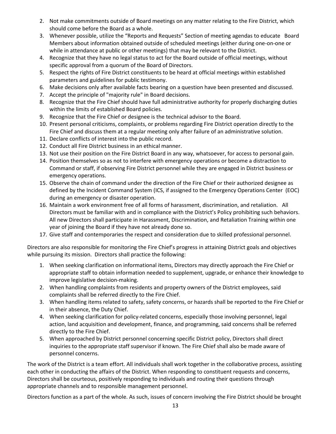- 2. Not make commitments outside of Board meetings on any matter relating to the Fire District, which should come before the Board as a whole.
- 3. Whenever possible, utilize the "Reports and Requests" Section of meeting agendas to educate Board Members about information obtained outside of scheduled meetings (either during one-on-one or while in attendance at public or other meetings) that may be relevant to the District.
- 4. Recognize that they have no legal status to act for the Board outside of official meetings, without specific approval from a quorum of the Board of Directors.
- 5. Respect the rights of Fire District constituents to be heard at official meetings within established parameters and guidelines for public testimony.
- 6. Make decisions only after available facts bearing on a question have been presented and discussed.
- 7. Accept the principle of "majority rule" in Board decisions.
- 8. Recognize that the Fire Chief should have full administrative authority for properly discharging duties within the limits of established Board policies.
- 9. Recognize that the Fire Chief or designee is the technical advisor to the Board.
- 10. Present personal criticisms, complaints, or problems regarding Fire District operation directly to the Fire Chief and discuss them at a regular meeting only after failure of an administrative solution.
- 11. Declare conflicts of interest into the public record.
- 12. Conduct all Fire District business in an ethical manner.
- 13. Not use their position on the Fire District Board in any way, whatsoever, for access to personal gain.
- 14. Position themselves so as not to interfere with emergency operations or become a distraction to Command or staff, if observing Fire District personnel while they are engaged in District business or emergency operations.
- 15. Observe the chain of command under the direction of the Fire Chief or their authorized designee as defined by the Incident Command System (ICS, if assigned to the Emergency Operations Center (EOC) during an emergency or disaster operation.
- 16. Maintain a work environment free of all forms of harassment, discrimination, and retaliation. All Directors must be familiar with and in compliance with the District's Policy prohibiting such behaviors. All new Directors shall participate in Harassment, Discrimination, and Retaliation Training within one year of joining the Board if they have not already done so.
- 17. Give staff and contemporaries the respect and consideration due to skilled professional personnel.

Directors are also responsible for monitoring the Fire Chief's progress in attaining District goals and objectives while pursuing its mission. Directors shall practice the following:

- 1. When seeking clarification on informational items, Directors may directly approach the Fire Chief or appropriate staff to obtain information needed to supplement, upgrade, or enhance their knowledge to improve legislative decision-making.
- 2. When handling complaints from residents and property owners of the District employees, said complaints shall be referred directly to the Fire Chief.
- 3. When handling items related to safety, safety concerns, or hazards shall be reported to the Fire Chief or in their absence, the Duty Chief.
- 4. When seeking clarification for policy-related concerns, especially those involving personnel, legal action, land acquisition and development, finance, and programming, said concerns shall be referred directly to the Fire Chief.
- 5. When approached by District personnel concerning specific District policy, Directors shall direct inquiries to the appropriate staff supervisor if known. The Fire Chief shall also be made aware of personnel concerns.

The work of the District is a team effort. All individuals shall work together in the collaborative process, assisting each other in conducting the affairs of the District. When responding to constituent requests and concerns, Directors shall be courteous, positively responding to individuals and routing their questions through appropriate channels and to responsible management personnel.

Directors function as a part of the whole. As such, issues of concern involving the Fire District should be brought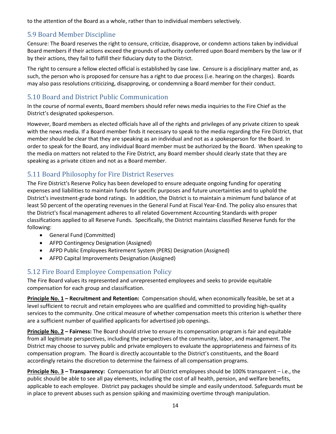to the attention of the Board as a whole, rather than to individual members selectively.

## <span id="page-13-0"></span>5.9 Board Member Discipline

Censure: The Board reserves the right to censure, criticize, disapprove, or condemn actions taken by individual Board members if their actions exceed the grounds of authority conferred upon Board members by the law or if by their actions, they fail to fulfill their fiduciary duty to the District.

The right to censure a fellow elected official is established by case law. Censure is a disciplinary matter and, as such, the person who is proposed for censure has a right to due process (i.e. hearing on the charges). Boards may also pass resolutions criticizing, disapproving, or condemning a Board member for their conduct.

## <span id="page-13-1"></span>5.10 Board and District Public Communication

In the course of normal events, Board members should refer news media inquiries to the Fire Chief as the District's designated spokesperson.

However, Board members as elected officials have all of the rights and privileges of any private citizen to speak with the news media. If a Board member finds it necessary to speak to the media regarding the Fire District, that member should be clear that they are speaking as an individual and not as a spokesperson for the Board. In order to speak for the Board, any individual Board member must be authorized by the Board. When speaking to the media on matters not related to the Fire District, any Board member should clearly state that they are speaking as a private citizen and not as a Board member.

# <span id="page-13-2"></span>5.11 Board Philosophy for Fire District Reserves

The Fire District's Reserve Policy has been developed to ensure adequate ongoing funding for operating expenses and liabilities to maintain funds for specific purposes and future uncertainties and to uphold the District's investment-grade bond ratings. In addition, the District is to maintain a minimum fund balance of at least 50 percent of the operating revenues in the General Fund at Fiscal Year-End. The policy also ensures that the District's fiscal management adheres to all related Government Accounting Standards with proper classifications applied to all Reserve Funds. Specifically, the District maintains classified Reserve funds for the following:

- General Fund (Committed)
- AFPD Contingency Designation (Assigned)
- AFPD Public Employees Retirement System (PERS) Designation (Assigned)
- AFPD Capital Improvements Designation (Assigned)

## <span id="page-13-3"></span>5.12 Fire Board Employee Compensation Policy

The Fire Board values its represented and unrepresented employees and seeks to provide equitable compensation for each group and classification.

**Principle No. 1 – Recruitment and Retention:** Compensation should, when economically feasible, be set at a level sufficient to recruit and retain employees who are qualified and committed to providing high-quality services to the community. One critical measure of whether compensation meets this criterion is whether there are a sufficient number of qualified applicants for advertised job openings.

**Principle No. 2 – Fairness:** The Board should strive to ensure its compensation program is fair and equitable from all legitimate perspectives, including the perspectives of the community, labor, and management. The District may choose to survey public and private employers to evaluate the appropriateness and fairness of its compensation program. The Board is directly accountable to the District's constituents, and the Board accordingly retains the discretion to determine the fairness of all compensation programs.

**Principle No. 3 – Transparency:** Compensation for all District employees should be 100% transparent – i.e., the public should be able to see all pay elements, including the cost of all health, pension, and welfare benefits, applicable to each employee. District pay packages should be simple and easily understood. Safeguards must be in place to prevent abuses such as pension spiking and maximizing overtime through manipulation.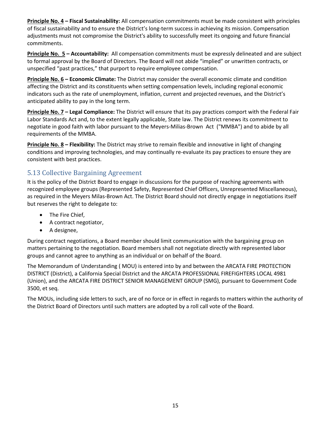**Principle No. 4 – Fiscal Sustainability:** All compensation commitments must be made consistent with principles of fiscal sustainability and to ensure the District's long-term success in achieving its mission. Compensation adjustments must not compromise the District's ability to successfully meet its ongoing and future financial commitments.

**Principle No. 5 – Accountability:** All compensation commitments must be expressly delineated and are subject to formal approval by the Board of Directors. The Board will not abide "implied" or unwritten contracts, or unspecified "past practices," that purport to require employee compensation.

**Principle No. 6 – Economic Climate:** The District may consider the overall economic climate and condition affecting the District and its constituents when setting compensation levels, including regional economic indicators such as the rate of unemployment, inflation, current and projected revenues, and the District's anticipated ability to pay in the long term.

**Principle No. 7 – Legal Compliance:** The District will ensure that its pay practices comport with the Federal Fair Labor Standards Act and, to the extent legally applicable, State law. The District renews its commitment to negotiate in good faith with labor pursuant to the Meyers-Milias-Brown Act ("MMBA") and to abide by all requirements of the MMBA.

**Principle No. 8 – Flexibility:** The District may strive to remain flexible and innovative in light of changing conditions and improving technologies, and may continually re-evaluate its pay practices to ensure they are consistent with best practices.

## <span id="page-14-0"></span>5.13 Collective Bargaining Agreement

It is the policy of the District Board to engage in discussions for the purpose of reaching agreements with recognized employee groups (Represented Safety, Represented Chief Officers, Unrepresented Miscellaneous), as required in the Meyers Milas-Brown Act. The District Board should not directly engage in negotiations itself but reserves the right to delegate to:

- The Fire Chief,
- A contract negotiator,
- A designee,

During contract negotiations, a Board member should limit communication with the bargaining group on matters pertaining to the negotiation. Board members shall not negotiate directly with represented labor groups and cannot agree to anything as an individual or on behalf of the Board.

The Memorandum of Understanding ( MOU) is entered into by and between the ARCATA FIRE PROTECTION DISTRICT (District), a California Special District and the ARCATA PROFESSIONAL FIREFIGHTERS LOCAL 4981 (Union), and the ARCATA FIRE DISTRICT SENIOR MANAGEMENT GROUP (SMG), pursuant to Government Code 3500, et seq.

The MOUs, including side letters to such, are of no force or in effect in regards to matters within the authority of the District Board of Directors until such matters are adopted by a roll call vote of the Board.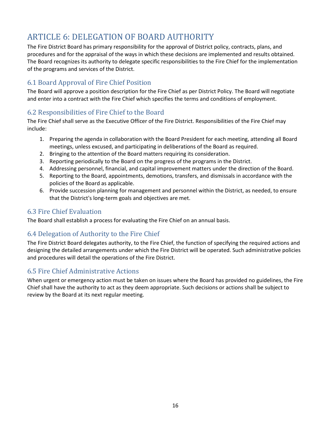# <span id="page-15-0"></span>ARTICLE 6: DELEGATION OF BOARD AUTHORITY

The Fire District Board has primary responsibility for the approval of District policy, contracts, plans, and procedures and for the appraisal of the ways in which these decisions are implemented and results obtained. The Board recognizes its authority to delegate specific responsibilities to the Fire Chief for the implementation of the programs and services of the District.

## <span id="page-15-1"></span>6.1 Board Approval of Fire Chief Position

The Board will approve a position description for the Fire Chief as per District Policy. The Board will negotiate and enter into a contract with the Fire Chief which specifies the terms and conditions of employment.

## <span id="page-15-2"></span>6.2 Responsibilities of Fire Chief to the Board

The Fire Chief shall serve as the Executive Officer of the Fire District. Responsibilities of the Fire Chief may include:

- 1. Preparing the agenda in collaboration with the Board President for each meeting, attending all Board meetings, unless excused, and participating in deliberations of the Board as required.
- 2. Bringing to the attention of the Board matters requiring its consideration.
- 3. Reporting periodically to the Board on the progress of the programs in the District.
- 4. Addressing personnel, financial, and capital improvement matters under the direction of the Board.
- 5. Reporting to the Board, appointments, demotions, transfers, and dismissals in accordance with the policies of the Board as applicable.
- 6. Provide succession planning for management and personnel within the District, as needed, to ensure that the District's long-term goals and objectives are met.

## <span id="page-15-3"></span>6.3 Fire Chief Evaluation

The Board shall establish a process for evaluating the Fire Chief on an annual basis.

## <span id="page-15-4"></span>6.4 Delegation of Authority to the Fire Chief

The Fire District Board delegates authority, to the Fire Chief, the function of specifying the required actions and designing the detailed arrangements under which the Fire District will be operated. Such administrative policies and procedures will detail the operations of the Fire District.

## <span id="page-15-5"></span>6.5 Fire Chief Administrative Actions

When urgent or emergency action must be taken on issues where the Board has provided no guidelines, the Fire Chief shall have the authority to act as they deem appropriate. Such decisions or actions shall be subject to review by the Board at its next regular meeting.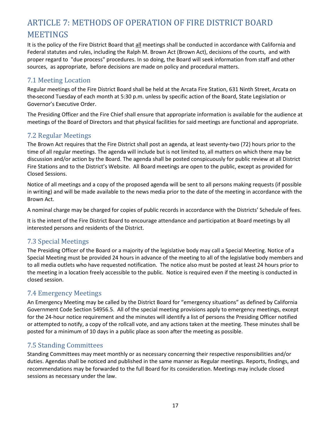# <span id="page-16-0"></span>ARTICLE 7: METHODS OF OPERATION OF FIRE DISTRICT BOARD **MEETINGS**

It is the policy of the Fire District Board that all meetings shall be conducted in accordance with California and Federal statutes and rules, including the Ralph M. Brown Act (Brown Act), decisions of the courts, and with proper regard to "due process" procedures. In so doing, the Board will seek information from staff and other sources, as appropriate, before decisions are made on policy and procedural matters.

## <span id="page-16-1"></span>7.1 Meeting Location

Regular meetings of the Fire District Board shall be held at the Arcata Fire Station, 631 Ninth Street, Arcata on the second Tuesday of each month at 5:30 p.m. unless by specific action of the Board, State Legislation or Governor's Executive Order.

The Presiding Officer and the Fire Chief shall ensure that appropriate information is available for the audience at meetings of the Board of Directors and that physical facilities for said meetings are functional and appropriate.

## <span id="page-16-2"></span>7.2 Regular Meetings

The Brown Act requires that the Fire District shall post an agenda, at least seventy-two (72) hours prior to the time of all regular meetings. The agenda will include but is not limited to, all matters on which there may be discussion and/or action by the Board. The agenda shall be posted conspicuously for public review at all District Fire Stations and to the District's Website. All Board meetings are open to the public, except as provided for Closed Sessions.

Notice of all meetings and a copy of the proposed agenda will be sent to all persons making requests (if possible in writing) and will be made available to the news media prior to the date of the meeting in accordance with the Brown Act.

A nominal charge may be charged for copies of public records in accordance with the Districts' Schedule of fees.

It is the intent of the Fire District Board to encourage attendance and participation at Board meetings by all interested persons and residents of the District.

## <span id="page-16-3"></span>7.3 Special Meetings

The Presiding Officer of the Board or a majority of the legislative body may call a Special Meeting. Notice of a Special Meeting must be provided 24 hours in advance of the meeting to all of the legislative body members and to all media outlets who have requested notification. The notice also must be posted at least 24 hours prior to the meeting in a location freely accessible to the public. Notice is required even if the meeting is conducted in closed session.

## <span id="page-16-4"></span>7.4 Emergency Meetings

An Emergency Meeting may be called by the District Board for "emergency situations" as defined by California Government Code Section 54956.5. All of the special meeting provisions apply to emergency meetings, except for the 24-hour notice requirement and the minutes will identify a list of persons the Presiding Officer notified or attempted to notify, a copy of the rollcall vote, and any actions taken at the meeting. These minutes shall be posted for a minimum of 10 days in a public place as soon after the meeting as possible.

## <span id="page-16-5"></span>7.5 Standing Committees

Standing Committees may meet monthly or as necessary concerning their respective responsibilities and/or duties. Agendas shall be noticed and published in the same manner as Regular meetings. Reports, findings, and recommendations may be forwarded to the full Board for its consideration. Meetings may include closed sessions as necessary under the law.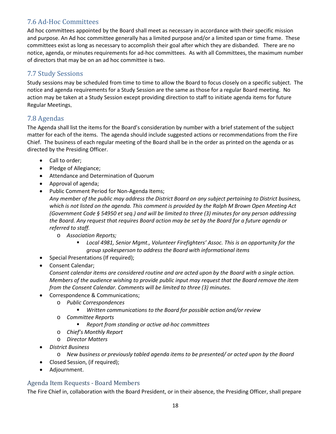## <span id="page-17-0"></span>7.6 Ad-Hoc Committees

Ad hoc committees appointed by the Board shall meet as necessary in accordance with their specific mission and purpose. An Ad hoc committee generally has a limited purpose and/or a limited span or time frame. These committees exist as long as necessary to accomplish their goal after which they are disbanded. There are no notice, agenda, or minutes requirements for ad-hoc committees. As with all Committees, the maximum number of directors that may be on an ad hoc committee is two.

# <span id="page-17-1"></span>7.7 Study Sessions

Study sessions may be scheduled from time to time to allow the Board to focus closely on a specific subject. The notice and agenda requirements for a Study Session are the same as those for a regular Board meeting. No action may be taken at a Study Session except providing direction to staff to initiate agenda items for future Regular Meetings.

## <span id="page-17-2"></span>7.8 Agendas

The Agenda shall list the items for the Board's consideration by number with a brief statement of the subject matter for each of the items. The agenda should include suggested actions or recommendations from the Fire Chief. The business of each regular meeting of the Board shall be in the order as printed on the agenda or as directed by the Presiding Officer.

- Call to order;
- Pledge of Allegiance;
- Attendance and Determination of Quorum
- Approval of agenda;
- Public Comment Period for Non-Agenda Items;

*Any member of the public may address the District Board on any subject pertaining to District business, which is not listed on the agenda. This comment is provided by the Ralph M Brown Open Meeting Act (Government Code § 54950 et seq.) and will be limited to three (3) minutes for any person addressing the Board. Any request that requires Board action may be set by the Board for a future agenda or referred to staff.*

- o *Association Reports;*
	- *Local 4981, Senior Mgmt., Volunteer Firefighters' Assoc. This is an opportunity for the group spokesperson to address the Board with informational items*
- Special Presentations (If required);
- Consent Calendar;

*Consent calendar items are considered routine and are acted upon by the Board with a single action. Members of the audience wishing to provide public input may request that the Board remove the item from the Consent Calendar. Comments will be limited to three (3) minutes.*

- Correspondence & Communications;
	- o *Public Correspondences* 
		- *Written communications to the Board for possible action and/or review*
	- o *Committee Reports*
		- *Report from standing or active ad-hoc committees*
	- o *Chief's Monthly Report*
	- o *Director Matters*
- *District Business*
	- o *New business or previously tabled agenda items to be presented/ or acted upon by the Board*
- Closed Session, (if required);
- Adjournment.

#### <span id="page-17-3"></span>Agenda Item Requests - Board Members

The Fire Chief in, collaboration with the Board President, or in their absence, the Presiding Officer, shall prepare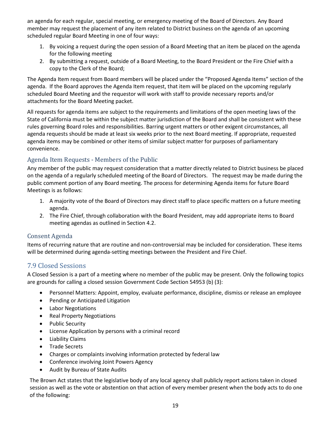an agenda for each regular, special meeting, or emergency meeting of the Board of Directors. Any Board member may request the placement of any item related to District business on the agenda of an upcoming scheduled regular Board Meeting in one of four ways:

- 1. By voicing a request during the open session of a Board Meeting that an item be placed on the agenda for the following meeting
- 2. By submitting a request, outside of a Board Meeting, to the Board President or the Fire Chief with a copy to the Clerk of the Board;

The Agenda Item request from Board members will be placed under the "Proposed Agenda Items" section of the agenda. If the Board approves the Agenda Item request, that item will be placed on the upcoming regularly scheduled Board Meeting and the requestor will work with staff to provide necessary reports and/or attachments for the Board Meeting packet.

All requests for agenda items are subject to the requirements and limitations of the open meeting laws of the State of California must be within the subject matter jurisdiction of the Board and shall be consistent with these rules governing Board roles and responsibilities. Barring urgent matters or other exigent circumstances, all agenda requests should be made at least six weeks prior to the next Board meeting. If appropriate, requested agenda items may be combined or other items of similar subject matter for purposes of parliamentary convenience.

## <span id="page-18-0"></span>Agenda Item Requests - Members of the Public

Any member of the public may request consideration that a matter directly related to District business be placed on the agenda of a regularly scheduled meeting of the Board of Directors. The request may be made during the public comment portion of any Board meeting. The process for determining Agenda items for future Board Meetings is as follows:

- 1. A majority vote of the Board of Directors may direct staff to place specific matters on a future meeting agenda.
- 2. The Fire Chief, through collaboration with the Board President, may add appropriate items to Board meeting agendas as outlined in Section 4.2.

#### <span id="page-18-1"></span>Consent Agenda

Items of recurring nature that are routine and non-controversial may be included for consideration. These items will be determined during agenda-setting meetings between the President and Fire Chief.

## <span id="page-18-2"></span>7.9 Closed Sessions

A Closed Session is a part of a meeting where no member of the public may be present. Only the following topics are grounds for calling a closed session Government Code Section 54953 (b) (3):

- Personnel Matters: Appoint, employ, evaluate performance, discipline, dismiss or release an employee
- Pending or Anticipated Litigation
- Labor Negotiations
- Real Property Negotiations
- Public Security
- License Application by persons with a criminal record
- Liability Claims
- Trade Secrets
- Charges or complaints involving information protected by federal law
- Conference involving Joint Powers Agency
- Audit by Bureau of State Audits

The Brown Act states that the legislative body of any local agency shall publicly report actions taken in closed session as well as the vote or abstention on that action of every member present when the body acts to do one of the following: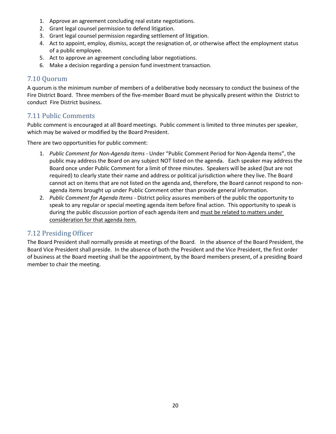- 1. Approve an agreement concluding real estate negotiations.
- 2. Grant legal counsel permission to defend litigation.
- 3. Grant legal counsel permission regarding settlement of litigation.
- 4. Act to appoint, employ, dismiss, accept the resignation of, or otherwise affect the employment status of a public employee.
- 5. Act to approve an agreement concluding labor negotiations.
- 6. Make a decision regarding a pension fund investment transaction.

## <span id="page-19-0"></span>7.10 Quorum

A quorum is the minimum number of members of a [deliberative body n](http://en.wikipedia.org/wiki/Deliberative_body)ecessary to conduct the business of the Fire District Board. Three members of the five-member Board must be physically present within the District to conduct Fire District business.

## <span id="page-19-1"></span>7.11 Public Comments

Public comment is encouraged at all Board meetings. Public comment is limited to three minutes per speaker, which may be waived or modified by the Board President.

There are two opportunities for public comment:

- 1. *Public Comment for Non-Agenda Items -* Under "Public Comment Period for Non-Agenda Items", the public may address the Board on any subject NOT listed on the agenda. Each speaker may address the Board once under Public Comment for a limit of three minutes. Speakers will be asked (but are not required) to clearly state their name and address or political jurisdiction where they live. The Board cannot act on items that are not listed on the agenda and, therefore, the Board cannot respond to nonagenda items brought up under Public Comment other than provide general information.
- 2. *Public Comment for Agenda Items -* District policy assures members of the public the opportunity to speak to any regular or special meeting agenda item before final action. This opportunity to speak is during the public discussion portion of each agenda item and must be related to matters under consideration for that agenda item.

## <span id="page-19-2"></span>7.12 Presiding Officer

The Board President shall normally preside at meetings of the Board. In the absence of the Board President, the Board Vice President shall preside. In the absence of both the President and the Vice President, the first order of business at the Board meeting shall be the appointment, by the Board members present, of a presiding Board member to chair the meeting.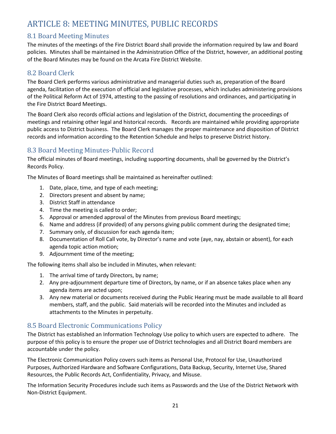# <span id="page-20-0"></span>ARTICLE 8: MEETING MINUTES, PUBLIC RECORDS

## <span id="page-20-1"></span>8.1 Board Meeting Minutes

The minutes of the meetings of the Fire District Board shall provide the information required by law and Board policies. Minutes shall be maintained in the Administration Office of the District, however, an additional posting of the Board Minutes may be found on the Arcata Fire District Website.

## <span id="page-20-2"></span>8.2 Board Clerk

The Board Clerk performs various administrative and managerial duties such as, preparation of the Board agenda, facilitation of the execution of official and legislative processes, which includes administering provisions of the Political Reform Act of 1974, attesting to the passing of resolutions and ordinances, and participating in the Fire District Board Meetings.

The Board Clerk also records official actions and legislation of the District, documenting the proceedings of meetings and retaining other legal and historical records. Records are maintained while providing appropriate public access to District business. The Board Clerk manages the proper maintenance and disposition of District records and information according to the Retention Schedule and helps to preserve District history.

## <span id="page-20-3"></span>8.3 Board Meeting Minutes-Public Record

The official minutes of Board meetings, including supporting documents, shall be governed by the District's Records Policy.

The Minutes of Board meetings shall be maintained as hereinafter outlined:

- 1. Date, place, time, and type of each meeting;
- 2. Directors present and absent by name;
- 3. District Staff in attendance
- 4. Time the meeting is called to order;
- 5. Approval or amended approval of the Minutes from previous Board meetings;
- 6. Name and address (if provided) of any persons giving public comment during the designated time;
- 7. Summary only, of discussion for each agenda item;
- 8. Documentation of Roll Call vote, by Director's name and vote (aye, nay, abstain or absent), for each agenda topic action motion;
- 9. Adjournment time of the meeting;

The following items shall also be included in Minutes, when relevant:

- 1. The arrival time of tardy Directors, by name;
- 2. Any pre-adjournment departure time of Directors, by name, or if an absence takes place when any agenda items are acted upon;
- 3. Any new material or documents received during the Public Hearing must be made available to all Board members, staff, and the public. Said materials will be recorded into the Minutes and included as attachments to the Minutes in perpetuity.

## <span id="page-20-4"></span>8.5 Board Electronic Communications Policy

The District has established an Information Technology Use policy to which users are expected to adhere. The purpose of this policy is to ensure the proper use of District technologies and all District Board members are accountable under the policy.

The Electronic Communication Policy covers such items as Personal Use, Protocol for Use, Unauthorized Purposes, Authorized Hardware and Software Configurations, Data Backup, Security, Internet Use, Shared Resources, the Public Records Act, Confidentiality, Privacy, and Misuse.

The Information Security Procedures include such items as Passwords and the Use of the District Network with Non-District Equipment.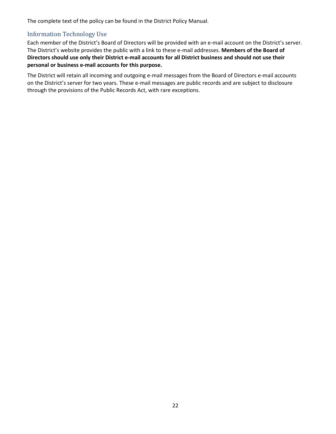The complete text of the policy can be found in the District Policy Manual.

#### <span id="page-21-0"></span>Information Technology Use

Each member of the District's Board of Directors will be provided with an e-mail account on the District's server. The District's website provides the public with a link to these e-mail addresses. **Members of the Board of Directors should use only their District e-mail accounts for all District business and should not use their personal or business e-mail accounts for this purpose.**

The District will retain all incoming and outgoing e-mail messages from the Board of Directors e-mail accounts on the District's server for two years. These e-mail messages are public records and are subject to disclosure through the provisions of the Public Records Act, with rare exceptions.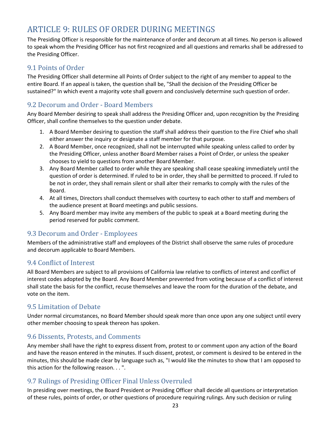# <span id="page-22-0"></span>ARTICLE 9: RULES OF ORDER DURING MEETINGS

The Presiding Officer is responsible for the maintenance of order and decorum at all times. No person is allowed to speak whom the Presiding Officer has not first recognized and all questions and remarks shall be addressed to the Presiding Officer.

## <span id="page-22-1"></span>9.1 Points of Order

The Presiding Officer shall determine all Points of Order subject to the right of any member to appeal to the entire Board. If an appeal is taken, the question shall be, "Shall the decision of the Presiding Officer be sustained?" In which event a majority vote shall govern and conclusively determine such question of order.

## <span id="page-22-2"></span>9.2 Decorum and Order - Board Members

Any Board Member desiring to speak shall address the Presiding Officer and, upon recognition by the Presiding Officer, shall confine themselves to the question under debate.

- 1. A Board Member desiring to question the staff shall address their question to the Fire Chief who shall either answer the inquiry or designate a staff member for that purpose.
- 2. A Board Member, once recognized, shall not be interrupted while speaking unless called to order by the Presiding Officer, unless another Board Member raises a Point of Order, or unless the speaker chooses to yield to questions from another Board Member.
- 3. Any Board Member called to order while they are speaking shall cease speaking immediately until the question of order is determined. If ruled to be in order, they shall be permitted to proceed. If ruled to be not in order, they shall remain silent or shall alter their remarks to comply with the rules of the Board.
- 4. At all times, Directors shall conduct themselves with courtesy to each other to staff and members of the audience present at Board meetings and public sessions.
- 5. Any Board member may invite any members of the public to speak at a Board meeting during the period reserved for public comment.

## <span id="page-22-3"></span>9.3 Decorum and Order - Employees

Members of the administrative staff and employees of the District shall observe the same rules of procedure and decorum applicable to Board Members.

## <span id="page-22-4"></span>9.4 Conflict of Interest

All Board Members are subject to all provisions of California law relative to conflicts of interest and conflict of interest codes adopted by the Board. Any Board Member prevented from voting because of a conflict of interest shall state the basis for the conflict, recuse themselves and leave the room for the duration of the debate, and vote on the item.

## <span id="page-22-5"></span>9.5 Limitation of Debate

Under normal circumstances, no Board Member should speak more than once upon any one subject until every other member choosing to speak thereon has spoken.

## <span id="page-22-6"></span>9.6 Dissents, Protests, and Comments

Any member shall have the right to express dissent from, protest to or comment upon any action of the Board and have the reason entered in the minutes. If such dissent, protest, or comment is desired to be entered in the minutes, this should be made clear by language such as, "I would like the minutes to show that I am opposed to this action for the following reason. . . ".

## <span id="page-22-7"></span>9.7 Rulings of Presiding Officer Final Unless Overruled

In presiding over meetings, the Board President or Presiding Officer shall decide all questions or interpretation of these rules, points of order, or other questions of procedure requiring rulings. Any such decision or ruling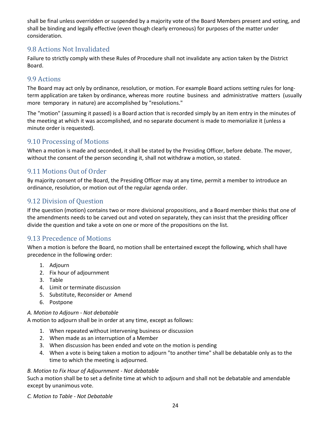shall be final unless overridden or suspended by a majority vote of the Board Members present and voting, and shall be binding and legally effective (even though clearly erroneous) for purposes of the matter under consideration.

## <span id="page-23-0"></span>9.8 Actions Not Invalidated

Failure to strictly comply with these Rules of Procedure shall not invalidate any action taken by the District Board.

#### <span id="page-23-1"></span>9.9 Actions

The Board may act only by ordinance, resolution, or motion. For example Board actions setting rules for longterm application are taken by ordinance, whereas more routine business and administrative matters (usually more temporary in nature) are accomplished by "resolutions."

The "motion" (assuming it passed) is a Board action that is recorded simply by an item entry in the minutes of the meeting at which it was accomplished, and no separate document is made to memorialize it (unless a minute order is requested).

## <span id="page-23-2"></span>9.10 Processing of Motions

When a motion is made and seconded, it shall be stated by the Presiding Officer, before debate. The mover, without the consent of the person seconding it, shall not withdraw a motion, so stated.

## <span id="page-23-3"></span>9.11 Motions Out of Order

By majority consent of the Board, the Presiding Officer may at any time, permit a member to introduce an ordinance, resolution, or motion out of the regular agenda order.

## <span id="page-23-4"></span>9.12 Division of Question

If the question (motion) contains two or more divisional propositions, and a Board member thinks that one of the amendments needs to be carved out and voted on separately, they can insist that the presiding officer divide the question and take a vote on one or more of the propositions on the list.

## <span id="page-23-5"></span>9.13 Precedence of Motions

When a motion is before the Board, no motion shall be entertained except the following, which shall have precedence in the following order:

- 1. Adjourn
- 2. Fix hour of adjournment
- 3. Table
- 4. Limit or terminate discussion
- 5. Substitute, Reconsider or Amend
- 6. Postpone

#### *A. Motion to Adjourn - Not debatable*

A motion to adjourn shall be in order at any time, except as follows:

- 1. When repeated without intervening business or discussion
- 2. When made as an interruption of a Member
- 3. When discussion has been ended and vote on the motion is pending
- 4. When a vote is being taken a motion to adjourn "to another time" shall be debatable only as to the time to which the meeting is adjourned.

#### *B. Motion to Fix Hour of Adjournment - Not debatable*

Such a motion shall be to set a definite time at which to adjourn and shall not be debatable and amendable except by unanimous vote.

*C. Motion to Table - Not Debatable*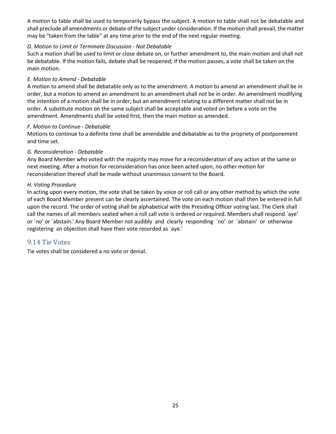A motion to table shall be used to temporarily bypass the subject. A motion to table shall not be debatable and shall preclude all amendments or debate of the subject under consideration. If the motion shall prevail, the matter may be "taken from the table" at any time prior to the end of the next regular meeting.

#### *D. Motion to Limit or Terminate Discussion - Not Debatable*

Such a motion shall be used to limit or close debate on, or further amendment to, the main motion and shall not be debatable. If the motion fails, debate shall be reopened; if the motion passes, a vote shall be taken on the main motion.

#### *E. Motion to Amend - Debatable*

A motion to amend shall be debatable only as to the amendment. A motion to amend an amendment shall be in order, but a motion to amend an amendment to an amendment shall not be in order. An amendment modifying the intention of a motion shall be in order, but an amendment relating to a different matter shall not be in order. A substitute motion on the same subject shall be acceptable and voted on before a vote on the amendment. Amendments shall be voted first, then the main motion as amended.

#### *F. Motion to Continue - Debatable*

Motions to continue to a definite time shall be amendable and debatable as to the propriety of postponement and time set.

#### *G. Reconsideration - Debatable*

Any Board Member who voted with the majority may move for a reconsideration of any action at the same or next meeting. After a motion for reconsideration has once been acted upon, no other motion for reconsideration thereof shall be made without unanimous consent to the Board.

#### *H. Voting Procedure*

In acting upon every motion, the vote shall be taken by voice or roll call or any other method by which the vote of each Board Member present can be clearly ascertained. The vote on each motion shall then be entered in full upon the record. The order of voting shall be alphabetical with the Presiding Officer voting last. The Clerk shall call the names of all members seated when a roll call vote is ordered or required. Members shall respond `aye' or `no' or `abstain.' Any Board Member not audibly and clearly responding `no' or `abstain' or otherwise registering an objection shall have their vote recorded as `aye.'

#### <span id="page-24-0"></span>9.14 Tie Votes

Tie votes shall be considered a no vote or denial.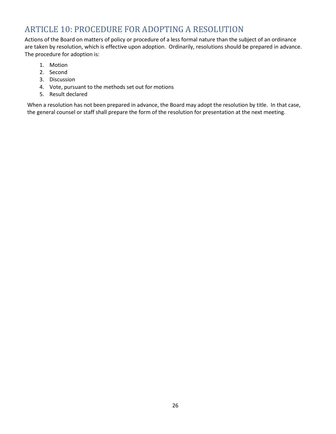# <span id="page-25-0"></span>ARTICLE 10: PROCEDURE FOR ADOPTING A RESOLUTION

Actions of the Board on matters of policy or procedure of a less formal nature than the subject of an ordinance are taken by resolution, which is effective upon adoption. Ordinarily, resolutions should be prepared in advance. The procedure for adoption is:

- 1. Motion
- 2. Second
- 3. Discussion
- 4. Vote, pursuant to the methods set out for motions
- 5. Result declared

When a resolution has not been prepared in advance, the Board may adopt the resolution by title. In that case, the general counsel or staff shall prepare the form of the resolution for presentation at the next meeting.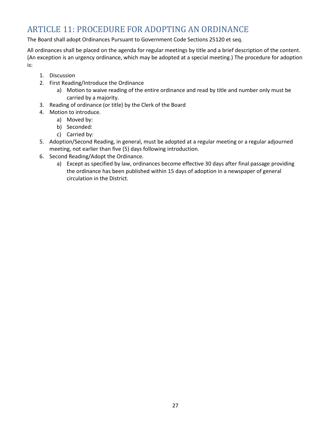# <span id="page-26-0"></span>ARTICLE 11: PROCEDURE FOR ADOPTING AN ORDINANCE

The Board shall adopt Ordinances Pursuant to Government Code Sections 25120 et seq.

All ordinances shall be placed on the agenda for regular meetings by title and a brief description of the content. (An exception is an urgency ordinance, which may be adopted at a special meeting.) The procedure for adoption is:

- 1. Discussion
- 2. First Reading/Introduce the Ordinance
	- a) Motion to waive reading of the entire ordinance and read by title and number only must be carried by a majority.
- 3. Reading of ordinance (or title) by the Clerk of the Board
- 4. Motion to introduce.
	- a) Moved by:
	- b) Seconded:
	- c) Carried by:
- 5. Adoption/Second Reading, in general, must be adopted at a regular meeting or a regular adjourned meeting, not earlier than five (5) days following introduction.
- 6. Second Reading/Adopt the Ordinance.
	- a) Except as specified by law, ordinances become effective 30 days after final passage providing the ordinance has been published within 15 days of adoption in a newspaper of general circulation in the District.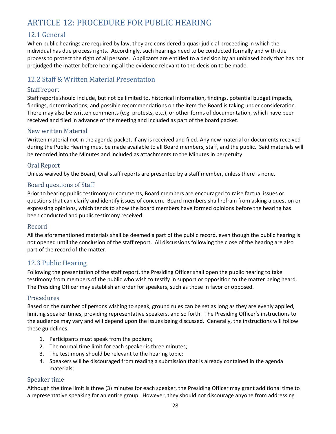# <span id="page-27-0"></span>ARTICLE 12: PROCEDURE FOR PUBLIC HEARING

## <span id="page-27-1"></span>12.1 General

When public hearings are required by law, they are considered a quasi-judicial proceeding in which the individual has due process rights. Accordingly, such hearings need to be conducted formally and with due process to protect the right of all persons. Applicants are entitled to a decision by an unbiased body that has not prejudged the matter before hearing all the evidence relevant to the decision to be made.

## <span id="page-27-2"></span>12.2 Staff & Written Material Presentation

#### <span id="page-27-3"></span>Staff report

Staff reports should include, but not be limited to, historical information, findings, potential budget impacts, findings, determinations, and possible recommendations on the item the Board is taking under consideration. There may also be written comments (e.g. protests, etc.), or other forms of documentation, which have been received and filed in advance of the meeting and included as part of the board packet.

#### <span id="page-27-4"></span>New written Material

Written material not in the agenda packet, if any is received and filed. Any new material or documents received during the Public Hearing must be made available to all Board members, staff, and the public. Said materials will be recorded into the Minutes and included as attachments to the Minutes in perpetuity.

#### <span id="page-27-5"></span>Oral Report

Unless waived by the Board, Oral staff reports are presented by a staff member, unless there is none.

#### <span id="page-27-6"></span>Board questions of Staff

Prior to hearing public testimony or comments, Board members are encouraged to raise factual issues or questions that can clarify and identify issues of concern. Board members shall refrain from asking a question or expressing opinions, which tends to show the board members have formed opinions before the hearing has been conducted and public testimony received.

#### <span id="page-27-7"></span>Record

All the aforementioned materials shall be deemed a part of the public record, even though the public hearing is not opened until the conclusion of the staff report. All discussions following the close of the hearing are also part of the record of the matter.

#### <span id="page-27-8"></span>12.3 Public Hearing

Following the presentation of the staff report, the Presiding Officer shall open the public hearing to take testimony from members of the public who wish to testify in support or opposition to the matter being heard. The Presiding Officer may establish an order for speakers, such as those in favor or opposed.

#### <span id="page-27-9"></span>Procedures

Based on the number of persons wishing to speak, ground rules can be set as long as they are evenly applied, limiting speaker times, providing representative speakers, and so forth. The Presiding Officer's instructions to the audience may vary and will depend upon the issues being discussed. Generally, the instructions will follow these guidelines.

- 1. Participants must speak from the podium;
- 2. The normal time limit for each speaker is three minutes;
- 3. The testimony should be relevant to the hearing topic;
- 4. Speakers will be discouraged from reading a submission that is already contained in the agenda materials;

#### <span id="page-27-10"></span>Speaker time

Although the time limit is three (3) minutes for each speaker, the Presiding Officer may grant additional time to a representative speaking for an entire group. However, they should not discourage anyone from addressing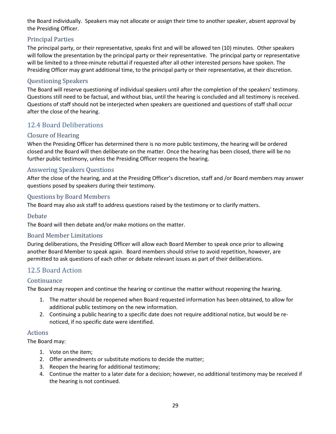the Board individually. Speakers may not allocate or assign their time to another speaker, absent approval by the Presiding Officer.

#### <span id="page-28-0"></span>Principal Parties

The principal party, or their representative, speaks first and will be allowed ten (10) minutes. Other speakers will follow the presentation by the principal party or their representative. The principal party or representative will be limited to a three-minute rebuttal if requested after all other interested persons have spoken. The Presiding Officer may grant additional time, to the principal party or their representative, at their discretion.

#### <span id="page-28-1"></span>Questioning Speakers

The Board will reserve questioning of individual speakers until after the completion of the speakers' testimony. Questions still need to be factual, and without bias, until the hearing is concluded and all testimony is received. Questions of staff should not be interjected when speakers are questioned and questions of staff shall occur after the close of the hearing.

## <span id="page-28-2"></span>12.4 Board Deliberations

#### <span id="page-28-3"></span>Closure of Hearing

When the Presiding Officer has determined there is no more public testimony, the hearing will be ordered closed and the Board will then deliberate on the matter. Once the hearing has been closed, there will be no further public testimony, unless the Presiding Officer reopens the hearing.

#### <span id="page-28-4"></span>Answering Speakers Questions

After the close of the hearing, and at the Presiding Officer's discretion, staff and /or Board members may answer questions posed by speakers during their testimony.

#### <span id="page-28-5"></span>Questions by Board Members

The Board may also ask staff to address questions raised by the testimony or to clarify matters.

#### <span id="page-28-6"></span>Debate

The Board will then debate and/or make motions on the matter.

#### <span id="page-28-7"></span>Board Member Limitations

During deliberations, the Presiding Officer will allow each Board Member to speak once prior to allowing another Board Member to speak again. Board members should strive to avoid repetition, however, are permitted to ask questions of each other or debate relevant issues as part of their deliberations.

#### <span id="page-28-8"></span>12.5 Board Action

#### <span id="page-28-9"></span>Continuance

The Board may reopen and continue the hearing or continue the matter without reopening the hearing.

- 1. The matter should be reopened when Board requested information has been obtained, to allow for additional public testimony on the new information.
- 2. Continuing a public hearing to a specific date does not require additional notice, but would be renoticed, if no specific date were identified.

#### <span id="page-28-10"></span>Actions

The Board may:

- 1. Vote on the item;
- 2. Offer amendments or substitute motions to decide the matter;
- 3. Reopen the hearing for additional testimony;
- 4. Continue the matter to a later date for a decision; however, no additional testimony may be received if the hearing is not continued.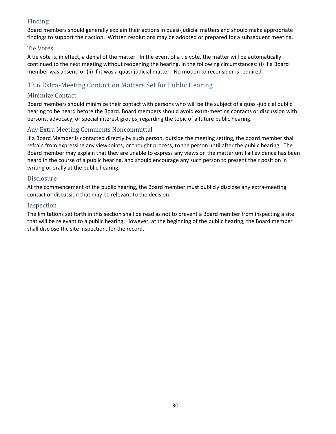## <span id="page-29-0"></span>Finding

Board members should generally explain their actions in quasi-judicial matters and should make appropriate findings to support their action. Written resolutions may be adopted or prepared for a subsequent meeting.

#### <span id="page-29-1"></span>Tie Votes

A tie vote is, in effect, a denial of the matter. In the event of a tie vote, the matter will be automatically continued to the next meeting without reopening the hearing, in the following circumstances: (i) if a Board member was absent, or (ii) if it was a quasi-judicial matter. No motion to reconsider is required.

# <span id="page-29-2"></span>12.6 Extra-Meeting Contact on Matters Set for Public Hearing

#### <span id="page-29-3"></span>Minimize Contact

Board members should minimize their contact with persons who will be the subject of a quasi-judicial public hearing to be heard before the Board. Board members should avoid extra-meeting contacts or discussion with persons, advocacy, or special interest groups, regarding the topic of a future public hearing.

#### <span id="page-29-4"></span>Any Extra Meeting Comments Noncommittal

If a Board Member is contacted directly by such person, outside the meeting setting, the board member shall refrain from expressing any viewpoints, or thought process, to the person until after the public hearing. The Board member may explain that they are unable to express any views on the matter until all evidence has been heard in the course of a public hearing, and should encourage any such person to present their position in writing or orally at the public hearing.

#### <span id="page-29-5"></span>Disclosure

At the commencement of the public hearing, the Board member must publicly disclose any extra-meeting contact or discussion that may be relevant to the decision.

#### <span id="page-29-6"></span>Inspection

The limitations set forth in this section shall be read as not to prevent a Board member from inspecting a site that will be relevant to a public hearing. However, at the beginning of the public hearing, the Board member shall disclose the site inspection, for the record.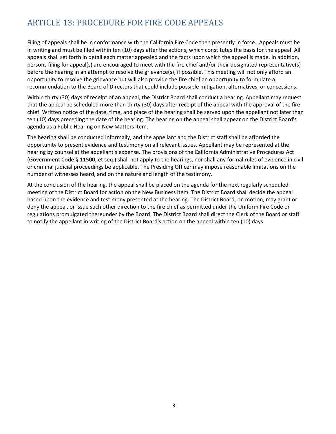# <span id="page-30-0"></span>ARTICLE 13: PROCEDURE FOR FIRE CODE APPEALS

Filing of appeals shall be in conformance with the California Fire Code then presently in force. Appeals must be in writing and must be filed within ten (10) days after the actions, which constitutes the basis for the appeal. All appeals shall set forth in detail each matter appealed and the facts upon which the appeal is made. In addition, persons filing for appeal(s) are encouraged to meet with the fire chief and/or their designated representative(s) before the hearing in an attempt to resolve the grievance(s), if possible. This meeting will not only afford an opportunity to resolve the grievance but will also provide the fire chief an opportunity to formulate a recommendation to the Board of Directors that could include possible mitigation, alternatives, or concessions.

Within thirty (30) days of receipt of an appeal, the District Board shall conduct a hearing. Appellant may request that the appeal be scheduled more than thirty (30) days after receipt of the appeal with the approval of the fire chief. Written notice of the date, time, and place of the hearing shall be served upon the appellant not later than ten (10) days preceding the date of the hearing. The hearing on the appeal shall appear on the District Board's agenda as a Public Hearing on New Matters item.

The hearing shall be conducted informally, and the appellant and the District staff shall be afforded the opportunity to present evidence and testimony on all relevant issues. Appellant may be represented at the hearing by counsel at the appellant's expense. The provisions of the California Administrative Procedures Act (Government Code § 11500, et seq.) shall not apply to the hearings, nor shall any formal rules of evidence in civil or criminal judicial proceedings be applicable. The Presiding Officer may impose reasonable limitations on the number of witnesses heard, and on the nature and length of the testimony.

At the conclusion of the hearing, the appeal shall be placed on the agenda for the next regularly scheduled meeting of the District Board for action on the New Business item. The District Board shall decide the appeal based upon the evidence and testimony presented at the hearing. The District Board, on motion, may grant or deny the appeal, or issue such other direction to the fire chief as permitted under the Uniform Fire Code or regulations promulgated thereunder by the Board. The District Board shall direct the Clerk of the Board or staff to notify the appellant in writing of the District Board's action on the appeal within ten (10) days.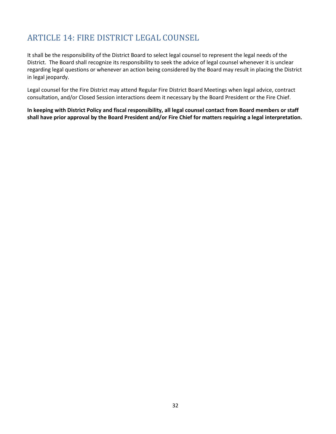# <span id="page-31-0"></span>ARTICLE 14: FIRE DISTRICT LEGAL COUNSEL

It shall be the responsibility of the District Board to select legal counsel to represent the legal needs of the District. The Board shall recognize its responsibility to seek the advice of legal counsel whenever it is unclear regarding legal questions or whenever an action being considered by the Board may result in placing the District in legal jeopardy.

Legal counsel for the Fire District may attend Regular Fire District Board Meetings when legal advice, contract consultation, and/or Closed Session interactions deem it necessary by the Board President or the Fire Chief.

**In keeping with District Policy and fiscal responsibility, all legal counsel contact from Board members or staff shall have prior approval by the Board President and/or Fire Chief for matters requiring a legal interpretation.**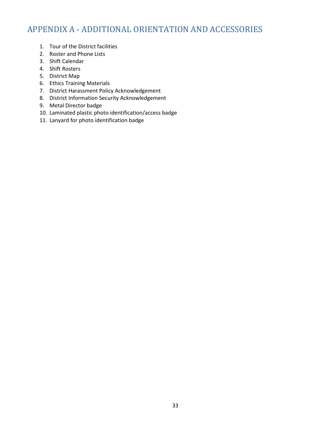# <span id="page-32-0"></span>APPENDIX A - ADDITIONAL ORIENTATION AND ACCESSORIES

- 1. Tour of the District facilities
- 2. Roster and Phone Lists
- 3. Shift Calendar
- 4. Shift Rosters
- 5. District Map
- 6. Ethics Training Materials
- 7. District Harassment Policy Acknowledgement
- 8. District Information Security Acknowledgement
- 9. Metal Director badge
- 10. Laminated plastic photo identification/access badge
- 11. Lanyard for photo identification badge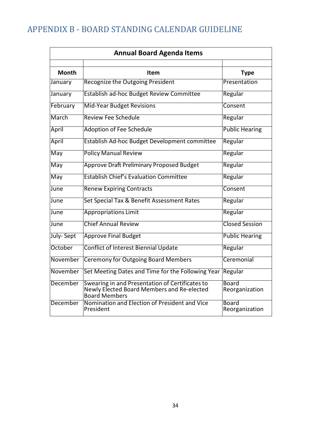# <span id="page-33-0"></span>APPENDIX B - BOARD STANDING CALENDAR GUIDELINE

| <b>Annual Board Agenda Items</b> |                                                                                                                       |                                |  |
|----------------------------------|-----------------------------------------------------------------------------------------------------------------------|--------------------------------|--|
|                                  |                                                                                                                       |                                |  |
| <b>Month</b>                     | Item                                                                                                                  | <b>Type</b>                    |  |
| January                          | <b>Recognize the Outgoing President</b>                                                                               | Presentation                   |  |
| January                          | Establish ad-hoc Budget Review Committee                                                                              | Regular                        |  |
| February                         | <b>Mid-Year Budget Revisions</b>                                                                                      | Consent                        |  |
| March                            | Review Fee Schedule                                                                                                   | Regular                        |  |
| April                            | <b>Adoption of Fee Schedule</b>                                                                                       | <b>Public Hearing</b>          |  |
| April                            | Establish Ad-hoc Budget Development committee                                                                         | Regular                        |  |
| May                              | <b>Policy Manual Review</b>                                                                                           | Regular                        |  |
| May                              | Approve Draft Preliminary Proposed Budget                                                                             | Regular                        |  |
| May                              | <b>Establish Chief's Evaluation Committee</b>                                                                         | Regular                        |  |
| June                             | <b>Renew Expiring Contracts</b>                                                                                       | Consent                        |  |
| June                             | Set Special Tax & Benefit Assessment Rates                                                                            | Regular                        |  |
| June                             | <b>Appropriations Limit</b>                                                                                           | Regular                        |  |
| June                             | <b>Chief Annual Review</b>                                                                                            | <b>Closed Session</b>          |  |
| July-Sept                        | <b>Approve Final Budget</b>                                                                                           | <b>Public Hearing</b>          |  |
| October                          | <b>Conflict of Interest Biennial Update</b>                                                                           | Regular                        |  |
| November                         | <b>Ceremony for Outgoing Board Members</b>                                                                            | Ceremonial                     |  |
| November                         | Set Meeting Dates and Time for the Following Year                                                                     | Regular                        |  |
| December                         | Swearing in and Presentation of Certificates to<br>Newly Elected Board Members and Re-elected<br><b>Board Members</b> | Board<br>Reorganization        |  |
| December                         | Nomination and Election of President and Vice<br>President                                                            | <b>Board</b><br>Reorganization |  |